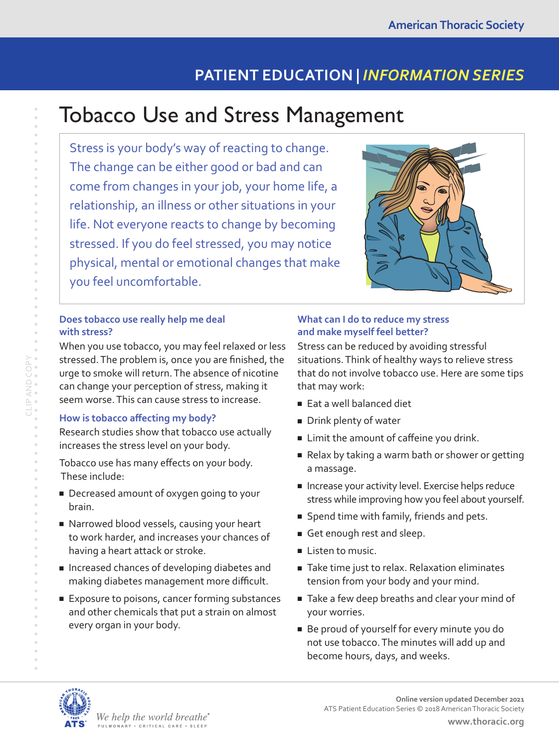## **PATIENT EDUCATION |** *INFORMATION SERIES*

# Tobacco Use and Stress Management

Stress is your body's way of reacting to change. The change can be either good or bad and can come from changes in your job, your home life, a relationship, an illness or other situations in your life. Not everyone reacts to change by becoming stressed. If you do feel stressed, you may notice physical, mental or emotional changes that make you feel uncomfortable.



When you use tobacco, you may feel relaxed or less stressed. The problem is, once you are finished, the urge to smoke will return. The absence of nicotine can change your perception of stress, making it seem worse. This can cause stress to increase.

## **How is tobacco affecting my body?**

Research studies show that tobacco use actually increases the stress level on your body.

Tobacco use has many effects on your body. These include:

- Decreased amount of oxygen going to your brain.
- Narrowed blood vessels, causing your heart to work harder, and increases your chances of having a heart attack or stroke.
- Increased chances of developing diabetes and making diabetes management more difficult.
- Exposure to poisons, cancer forming substances and other chemicals that put a strain on almost every organ in your body.

## **What can I do to reduce my stress and make myself feel better?**

Stress can be reduced by avoiding stressful situations. Think of healthy ways to relieve stress that do not involve tobacco use. Here are some tips that may work:

- Eat a well balanced diet
- Drink plenty of water
- Limit the amount of caffeine you drink.
- Relax by taking a warm bath or shower or getting a massage.
- Increase your activity level. Exercise helps reduce stress while improving how you feel about yourself.
- Spend time with family, friends and pets.
- Get enough rest and sleep.
- Listen to music.
- Take time just to relax. Relaxation eliminates tension from your body and your mind.
- Take a few deep breaths and clear your mind of your worries.
- Be proud of yourself for every minute you do not use tobacco. The minutes will add up and become hours, days, and weeks.